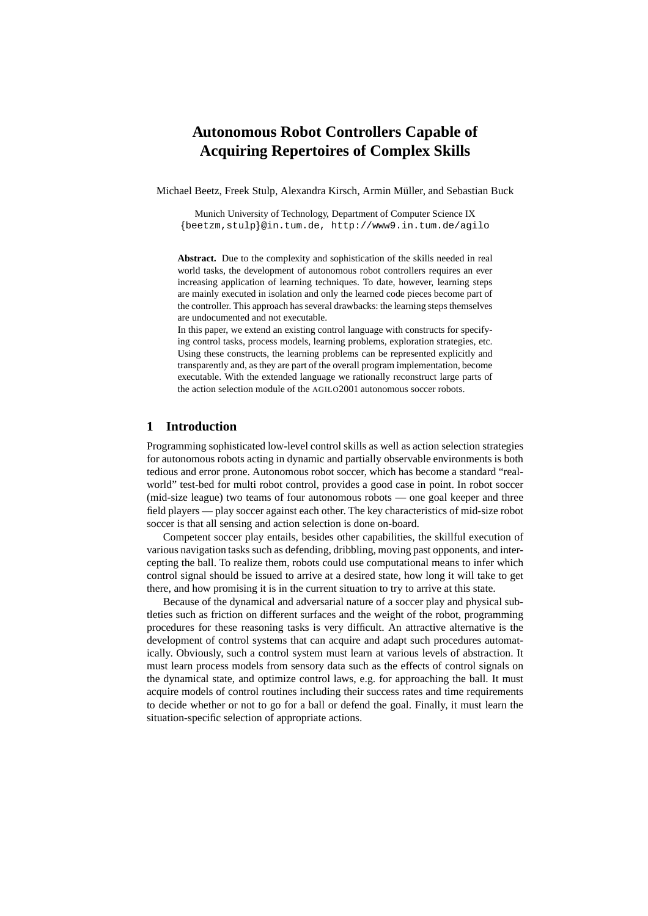# **Autonomous Robot Controllers Capable of Acquiring Repertoires of Complex Skills**

Michael Beetz, Freek Stulp, Alexandra Kirsch, Armin Müller, and Sebastian Buck

Munich University of Technology, Department of Computer Science IX beetzm,stulp @in.tum.de, http://www9.in.tum.de/agilo

**Abstract.** Due to the complexity and sophistication of the skills needed in real world tasks, the development of autonomous robot controllers requires an ever increasing application of learning techniques. To date, however, learning steps are mainly executed in isolation and only the learned code pieces become part of the controller. This approach has several drawbacks: the learning steps themselves are undocumented and not executable.

In this paper, we extend an existing control language with constructs for specifying control tasks, process models, learning problems, exploration strategies, etc. Using these constructs, the learning problems can be represented explicitly and transparently and, as they are part of the overall program implementation, become executable. With the extended language we rationally reconstruct large parts of the action selection module of the AGILO2001 autonomous soccer robots.

# **1 Introduction**

Programming sophisticated low-level control skills as well as action selection strategies for autonomous robots acting in dynamic and partially observable environments is both tedious and error prone. Autonomous robot soccer, which has become a standard "realworld" test-bed for multi robot control, provides a good case in point. In robot soccer (mid-size league) two teams of four autonomous robots — one goal keeper and three field players — play soccer against each other. The key characteristics of mid-size robot soccer is that all sensing and action selection is done on-board.

Competent soccer play entails, besides other capabilities, the skillful execution of various navigation tasks such as defending, dribbling, moving past opponents, and intercepting the ball. To realize them, robots could use computational means to infer which control signal should be issued to arrive at a desired state, how long it will take to get there, and how promising it is in the current situation to try to arrive at this state.

Because of the dynamical and adversarial nature of a soccer play and physical subtleties such as friction on different surfaces and the weight of the robot, programming procedures for these reasoning tasks is very difficult. An attractive alternative is the development of control systems that can acquire and adapt such procedures automatically. Obviously, such a control system must learn at various levels of abstraction. It must learn process models from sensory data such as the effects of control signals on the dynamical state, and optimize control laws, e.g. for approaching the ball. It must acquire models of control routines including their success rates and time requirements to decide whether or not to go for a ball or defend the goal. Finally, it must learn the situation-specific selection of appropriate actions.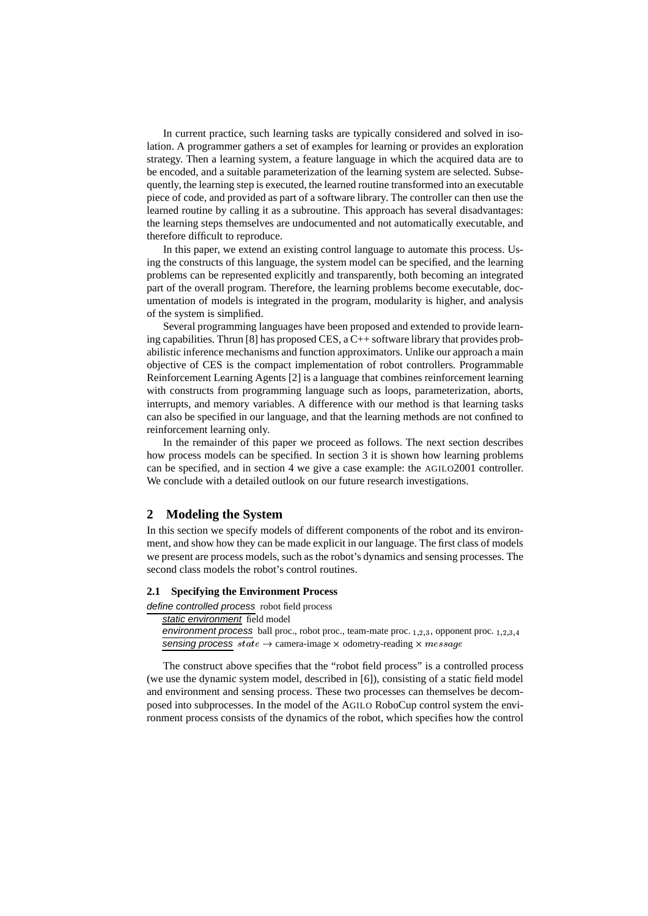In current practice, such learning tasks are typically considered and solved in isolation. A programmer gathers a set of examples for learning or provides an exploration strategy. Then a learning system, a feature language in which the acquired data are to be encoded, and a suitable parameterization of the learning system are selected. Subsequently, the learning step is executed, the learned routine transformed into an executable piece of code, and provided as part of a software library. The controller can then use the learned routine by calling it as a subroutine. This approach has several disadvantages: the learning steps themselves are undocumented and not automatically executable, and therefore difficult to reproduce.

In this paper, we extend an existing control language to automate this process. Using the constructs of this language, the system model can be specified, and the learning problems can be represented explicitly and transparently, both becoming an integrated part of the overall program. Therefore, the learning problems become executable, documentation of models is integrated in the program, modularity is higher, and analysis of the system is simplified.

Several programming languages have been proposed and extended to provide learning capabilities. Thrun [8] has proposed CES, a  $C_{++}$  software library that provides probabilistic inference mechanisms and function approximators. Unlike our approach a main objective of CES is the compact implementation of robot controllers. Programmable Reinforcement Learning Agents [2] is a language that combines reinforcement learning with constructs from programming language such as loops, parameterization, aborts, interrupts, and memory variables. A difference with our method is that learning tasks can also be specified in our language, and that the learning methods are not confined to reinforcement learning only.

In the remainder of this paper we proceed as follows. The next section describes how process models can be specified. In section 3 it is shown how learning problems can be specified, and in section 4 we give a case example: the AGILO2001 controller. We conclude with a detailed outlook on our future research investigations.

# **2 Modeling the System**

In this section we specify models of different components of the robot and its environment, and show how they can be made explicit in our language. The first class of models we present are process models, such as the robot's dynamics and sensing processes. The second class models the robot's control routines.

## **2.1 Specifying the Environment Process**

define controlled process robot field process

static environment field model

environment process ball proc., robot proc., team-mate proc.  $_{1,2,3}$ , opponent proc.  $_{1,2,3,4}$ sensing process  $state \rightarrow$  camera-image  $\times$  odometry-reading  $\times$  message

The construct above specifies that the "robot field process" is a controlled process (we use the dynamic system model, described in [6]), consisting of a static field model and environment and sensing process. These two processes can themselves be decomposed into subprocesses. In the model of the AGILO RoboCup control system the environment process consists of the dynamics of the robot, which specifies how the control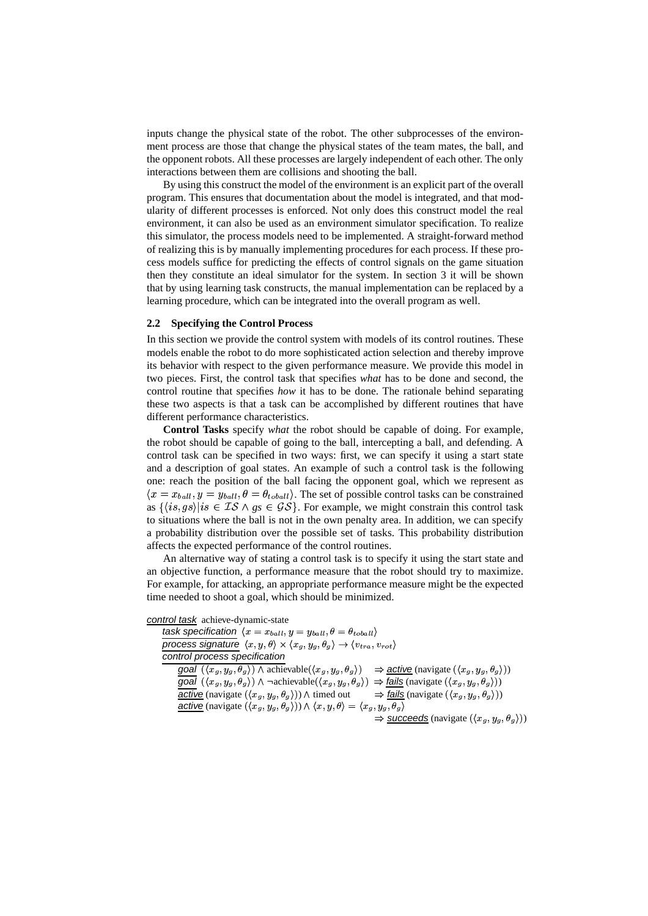inputs change the physical state of the robot. The other subprocesses of the environment process are those that change the physical states of the team mates, the ball, and the opponent robots. All these processes are largely independent of each other. The only interactions between them are collisions and shooting the ball.

By using this construct the model of the environment is an explicit part of the overall program. This ensures that documentation about the model is integrated, and that modularity of different processes is enforced. Not only does this construct model the real environment, it can also be used as an environment simulator specification. To realize this simulator, the process models need to be implemented. A straight-forward method of realizing this is by manually implementing procedures for each process. If these process models suffice for predicting the effects of control signals on the game situation then they constitute an ideal simulator for the system. In section 3 it will be shown that by using learning task constructs, the manual implementation can be replaced by a learning procedure, which can be integrated into the overall program as well.

#### **2.2 Specifying the Control Process**

In this section we provide the control system with models of its control routines. These models enable the robot to do more sophisticated action selection and thereby improve its behavior with respect to the given performance measure. We provide this model in two pieces. First, the control task that specifies *what* has to be done and second, the control routine that specifies *how* it has to be done. The rationale behind separating these two aspects is that a task can be accomplished by different routines that have different performance characteristics.

**Control Tasks** specify *what* the robot should be capable of doing. For example, the robot should be capable of going to the ball, intercepting a ball, and defending. A control task can be specified in two ways: first, we can specify it using a start state and a description of goal states. An example of such a control task is the following one: reach the position of the ball facing the opponent goal, which we represent as  $\langle x = x_{\text{ball}} , y = y_{\text{ball}} , \theta = \theta_{\text{total}} \rangle$ . The set of possible control tasks can be constrained as  $\{\langle is, gs \rangle | is \in \mathcal{IS} \land gs \in \mathcal{GS}\}.$  For example, we might constrain this control task to situations where the ball is not in the own penalty area. In addition, we can specify a probability distribution over the possible set of tasks. This probability distribution affects the expected performance of the control routines.

An alternative way of stating a control task is to specify it using the start state and an objective function, a performance measure that the robot should try to maximize. For example, for attacking, an appropriate performance measure might be the expected time needed to shoot a goal, which should be minimized.

control task achieve-dynamic-state

task specification  $\langle x = x_{ball}, y = y_{ball}, \theta = \theta_{total} \rangle$ process signature  $\langle x, y, \theta \rangle \times \langle x_g, y_g, \theta_g \rangle \rightarrow \langle v_{tra}, v_{rot} \rangle$ control process specification goal  $(\langle x_g, y_g, \theta_g \rangle) \wedge$  achievable $(\langle x_g, y_g, \theta_g \rangle) \Rightarrow$  active (navigate  $(\langle x_g, y_g, \theta_g \rangle)$ ) goal  $(\langle x_g, y_g, \theta_g \rangle) \wedge \neg \text{achiewable}(\langle x_g, y_g, \theta_g \rangle) \Rightarrow \text{fails}(\text{navigate } (\langle x_g, y_g, \theta_g \rangle))$ active (navigate  $(\langle x_g, y_g, \theta_g \rangle)$ )  $\wedge$  timed out  $\Rightarrow$  fails (navigate  $(\langle x_g, y_g, \theta_g \rangle)$ ) <u>active</u> (navigate  $(\langle x_g, y_g, \theta_g \rangle)$ )  $\wedge \langle x, y, \theta \rangle = \langle x_g, y_g, \theta_g \rangle$  $\Rightarrow$  succeeds (navigate  $(\langle x_g, y_g, \theta_g \rangle)$ )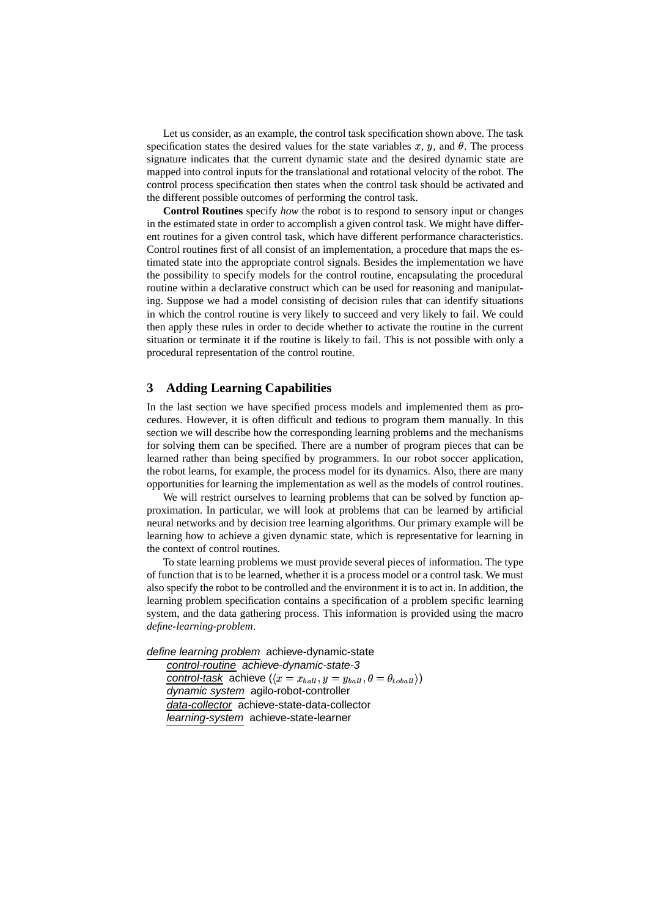Let us consider, as an example, the control task specification shown above. The task specification states the desired values for the state variables  $x, y$ , and  $\theta$ . The process signature indicates that the current dynamic state and the desired dynamic state are mapped into control inputs for the translational and rotational velocity of the robot. The control process specification then states when the control task should be activated and the different possible outcomes of performing the control task.

**Control Routines** specify *how* the robot is to respond to sensory input or changes in the estimated state in order to accomplish a given control task. We might have different routines for a given control task, which have different performance characteristics. Control routines first of all consist of an implementation, a procedure that maps the estimated state into the appropriate control signals. Besides the implementation we have the possibility to specify models for the control routine, encapsulating the procedural routine within a declarative construct which can be used for reasoning and manipulating. Suppose we had a model consisting of decision rules that can identify situations in which the control routine is very likely to succeed and very likely to fail. We could then apply these rules in order to decide whether to activate the routine in the current situation or terminate it if the routine is likely to fail. This is not possible with only a procedural representation of the control routine.

# **3 Adding Learning Capabilities**

In the last section we have specified process models and implemented them as procedures. However, it is often difficult and tedious to program them manually. In this section we will describe how the corresponding learning problems and the mechanisms for solving them can be specified. There are a number of program pieces that can be learned rather than being specified by programmers. In our robot soccer application, the robot learns, for example, the process model for its dynamics. Also, there are many opportunities for learning the implementation as well as the models of control routines.

We will restrict ourselves to learning problems that can be solved by function approximation. In particular, we will look at problems that can be learned by artificial neural networks and by decision tree learning algorithms. Our primary example will be learning how to achieve a given dynamic state, which is representative for learning in the context of control routines.

To state learning problems we must provide several pieces of information. The type of function that is to be learned, whether it is a process model or a control task. We must also specify the robot to be controlled and the environment it is to act in. In addition, the learning problem specification contains a specification of a problem specific learning system, and the data gathering process. This information is provided using the macro *define-learning-problem*.

define learning problem achieve-dynamic-state control-routine achieve-dynamic-state-3 control-task achieve ( $\langle x=x_{ball},y=y_{ball},\theta=\theta_{toball}\rangle$ ) dynamic system agilo-robot-controller data-collector achieve-state-data-collector learning-system achieve-state-learner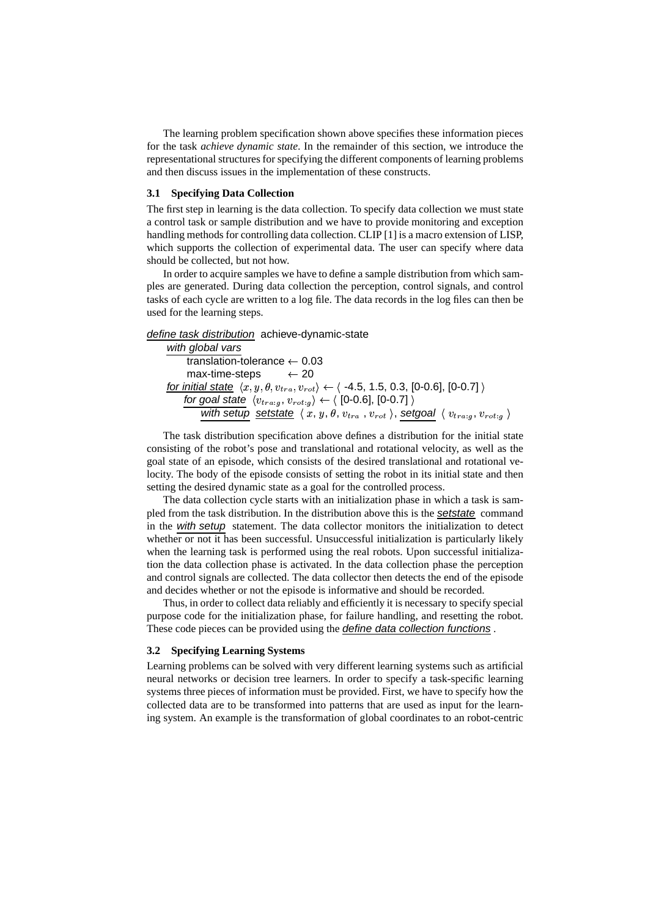The learning problem specification shown above specifies these information pieces for the task *achieve dynamic state*. In the remainder of this section, we introduce the representational structures for specifying the different components of learning problems and then discuss issues in the implementation of these constructs.

#### **3.1 Specifying Data Collection**

The first step in learning is the data collection. To specify data collection we must state a control task or sample distribution and we have to provide monitoring and exception handling methods for controlling data collection. CLIP [1] is a macro extension of LISP, which supports the collection of experimental data. The user can specify where data should be collected, but not how.

In order to acquire samples we have to define a sample distribution from which samples are generated. During data collection the perception, control signals, and control tasks of each cycle are written to a log file. The data records in the log files can then be used for the learning steps.

#### define task distribution achieve-dynamic-state

with global vars translation-tolerance  $\leftarrow$  0.03 max-time-steps  $\leftarrow 20$ <u>for initial state</u>  $\langle x, y, \theta, v_{tra}, v_{rot} \rangle \leftarrow \langle$  -4.5, 1.5, 0.3, [0-0.6], [0-0.7]  $\rangle$ for goal state  $\langle v_{tra:q}, v_{rot:q} \rangle \leftarrow \langle$  [0-0.6], [0-0.7]  $\rangle$ with setup setstate  $\langle x, y, \theta, v_{tra}, v_{rot} \rangle$ , setgoal  $\langle v_{tra:a}, v_{rot:a} \rangle$ 

The task distribution specification above defines a distribution for the initial state consisting of the robot's pose and translational and rotational velocity, as well as the goal state of an episode, which consists of the desired translational and rotational velocity. The body of the episode consists of setting the robot in its initial state and then setting the desired dynamic state as a goal for the controlled process.

The data collection cycle starts with an initialization phase in which a task is sampled from the task distribution. In the distribution above this is the setstate command in the with setup statement. The data collector monitors the initialization to detect whether or not it has been successful. Unsuccessful initialization is particularly likely when the learning task is performed using the real robots. Upon successful initialization the data collection phase is activated. In the data collection phase the perception and control signals are collected. The data collector then detects the end of the episode and decides whether or not the episode is informative and should be recorded.

Thus, in order to collect data reliably and efficiently it is necessary to specify special purpose code for the initialization phase, for failure handling, and resetting the robot. These code pieces can be provided using the define data collection functions.

#### **3.2 Specifying Learning Systems**

Learning problems can be solved with very different learning systems such as artificial neural networks or decision tree learners. In order to specify a task-specific learning systems three pieces of information must be provided. First, we have to specify how the collected data are to be transformed into patterns that are used as input for the learning system. An example is the transformation of global coordinates to an robot-centric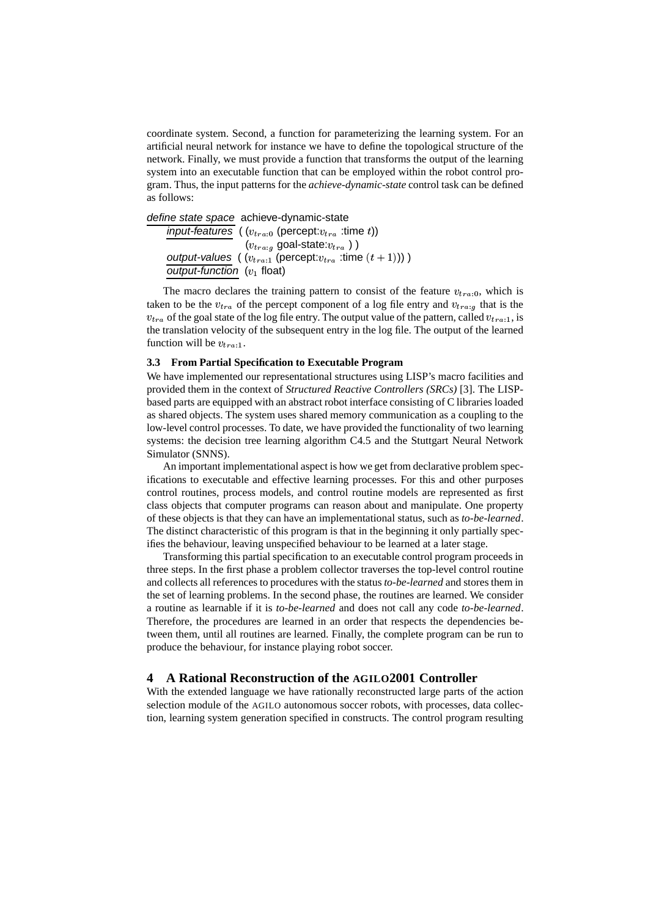coordinate system. Second, a function for parameterizing the learning system. For an artificial neural network for instance we have to define the topological structure of the network. Finally, we must provide a function that transforms the output of the learning system into an executable function that can be employed within the robot control program. Thus, the input patterns for the *achieve-dynamic-state* control task can be defined as follows:

define state space achieve-dynamic-state

input-features ( $(v_{tra:0}$  (percept: $v_{tra}$ :time t))  $(v_{tra:\,q}$  goal-state: $v_{tra}$  ) ) output-values ( $(v_{tra:1}$  (percept: $v_{tra}$ :time  $(t + 1))$ )) output-function  $(v_1)$  float)

The macro declares the training pattern to consist of the feature  $v_{tra:0}$ , which is taken to be the  $v_{tra}$  of the percept component of a log file entry and  $v_{tra, q}$  that is the  $v_{tra}$  of the goal state of the log file entry. The output value of the pattern, called  $v_{tra:1}$ , is the translation velocity of the subsequent entry in the log file. The output of the learned function will be  $v_{tra:1}$ .

## **3.3 From Partial Specification to Executable Program**

We have implemented our representational structures using LISP's macro facilities and provided them in the context of *Structured Reactive Controllers (SRCs)* [3]. The LISPbased parts are equipped with an abstract robot interface consisting of C libraries loaded as shared objects. The system uses shared memory communication as a coupling to the low-level control processes. To date, we have provided the functionality of two learning systems: the decision tree learning algorithm C4.5 and the Stuttgart Neural Network Simulator (SNNS).

An important implementational aspect is how we get from declarative problem specifications to executable and effective learning processes. For this and other purposes control routines, process models, and control routine models are represented as first class objects that computer programs can reason about and manipulate. One property of these objects is that they can have an implementational status, such as *to-be-learned*. The distinct characteristic of this program is that in the beginning it only partially specifies the behaviour, leaving unspecified behaviour to be learned at a later stage.

Transforming this partial specification to an executable control program proceeds in three steps. In the first phase a problem collector traverses the top-level control routine and collects all references to procedures with the status *to-be-learned* and stores them in the set of learning problems. In the second phase, the routines are learned. We consider a routine as learnable if it is *to-be-learned* and does not call any code *to-be-learned*. Therefore, the procedures are learned in an order that respects the dependencies between them, until all routines are learned. Finally, the complete program can be run to produce the behaviour, for instance playing robot soccer.

# **4 A Rational Reconstruction of the AGILO2001 Controller**

With the extended language we have rationally reconstructed large parts of the action selection module of the AGILO autonomous soccer robots, with processes, data collection, learning system generation specified in constructs. The control program resulting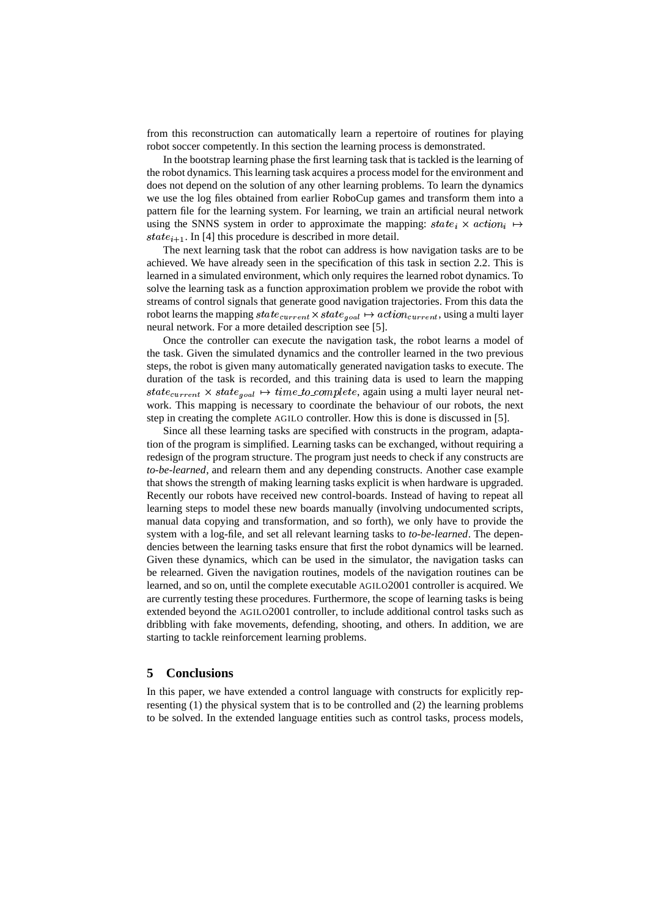from this reconstruction can automatically learn a repertoire of routines for playing robot soccer competently. In this section the learning process is demonstrated.

In the bootstrap learning phase the first learning task that is tackled is the learning of the robot dynamics. This learning task acquires a process model for the environment and does not depend on the solution of any other learning problems. To learn the dynamics we use the log files obtained from earlier RoboCup games and transform them into a pattern file for the learning system. For learning, we train an artificial neural network using the SNNS system in order to approximate the mapping:  $state_i \times action_i \rightarrow$  $state_{i+1}$ . In [4] this procedure is described in more detail.

The next learning task that the robot can address is how navigation tasks are to be achieved. We have already seen in the specification of this task in section 2.2. This is learned in a simulated environment, which only requires the learned robot dynamics. To solve the learning task as a function approximation problem we provide the robot with streams of control signals that generate good navigation trajectories. From this data the robot learns the mapping  $state_{current} \times state_{goal} \rightarrow action_{current}$ , using a multi layer neural network. For a more detailed description see [5].

Once the controller can execute the navigation task, the robot learns a model of the task. Given the simulated dynamics and the controller learned in the two previous steps, the robot is given many automatically generated navigation tasks to execute. The duration of the task is recorded, and this training data is used to learn the mapping  $state_{current} \times state_{goal} \rightarrow time\_to\_complete$ , again using a multi layer neural network. This mapping is necessary to coordinate the behaviour of our robots, the next step in creating the complete AGILO controller. How this is done is discussed in [5].

Since all these learning tasks are specified with constructs in the program, adaptation of the program is simplified. Learning tasks can be exchanged, without requiring a redesign of the program structure. The program just needs to check if any constructs are *to-be-learned*, and relearn them and any depending constructs. Another case example that shows the strength of making learning tasks explicit is when hardware is upgraded. Recently our robots have received new control-boards. Instead of having to repeat all learning steps to model these new boards manually (involving undocumented scripts, manual data copying and transformation, and so forth), we only have to provide the system with a log-file, and set all relevant learning tasks to *to-be-learned*. The dependencies between the learning tasks ensure that first the robot dynamics will be learned. Given these dynamics, which can be used in the simulator, the navigation tasks can be relearned. Given the navigation routines, models of the navigation routines can be learned, and so on, until the complete executable AGILO2001 controller is acquired. We are currently testing these procedures. Furthermore, the scope of learning tasks is being extended beyond the AGILO2001 controller, to include additional control tasks such as dribbling with fake movements, defending, shooting, and others. In addition, we are starting to tackle reinforcement learning problems.

# **5 Conclusions**

In this paper, we have extended a control language with constructs for explicitly representing (1) the physical system that is to be controlled and (2) the learning problems to be solved. In the extended language entities such as control tasks, process models,